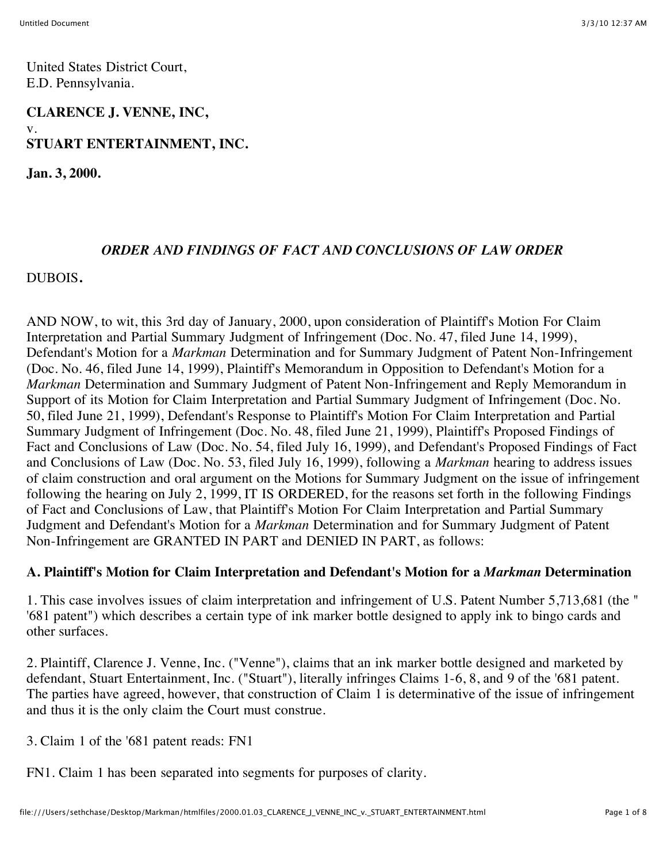United States District Court, E.D. Pennsylvania.

## **CLARENCE J. VENNE, INC,** v. **STUART ENTERTAINMENT, INC.**

**Jan. 3, 2000.**

#### *ORDER AND FINDINGS OF FACT AND CONCLUSIONS OF LAW ORDER*

#### DUBOIS**.**

AND NOW, to wit, this 3rd day of January, 2000, upon consideration of Plaintiff's Motion For Claim Interpretation and Partial Summary Judgment of Infringement (Doc. No. 47, filed June 14, 1999), Defendant's Motion for a *Markman* Determination and for Summary Judgment of Patent Non-Infringement (Doc. No. 46, filed June 14, 1999), Plaintiff's Memorandum in Opposition to Defendant's Motion for a *Markman* Determination and Summary Judgment of Patent Non-Infringement and Reply Memorandum in Support of its Motion for Claim Interpretation and Partial Summary Judgment of Infringement (Doc. No. 50, filed June 21, 1999), Defendant's Response to Plaintiff's Motion For Claim Interpretation and Partial Summary Judgment of Infringement (Doc. No. 48, filed June 21, 1999), Plaintiff's Proposed Findings of Fact and Conclusions of Law (Doc. No. 54, filed July 16, 1999), and Defendant's Proposed Findings of Fact and Conclusions of Law (Doc. No. 53, filed July 16, 1999), following a *Markman* hearing to address issues of claim construction and oral argument on the Motions for Summary Judgment on the issue of infringement following the hearing on July 2, 1999, IT IS ORDERED, for the reasons set forth in the following Findings of Fact and Conclusions of Law, that Plaintiff's Motion For Claim Interpretation and Partial Summary Judgment and Defendant's Motion for a *Markman* Determination and for Summary Judgment of Patent Non-Infringement are GRANTED IN PART and DENIED IN PART, as follows:

#### **A. Plaintiff's Motion for Claim Interpretation and Defendant's Motion for a** *Markman* **Determination**

1. This case involves issues of claim interpretation and infringement of U.S. Patent Number 5,713,681 (the " '681 patent") which describes a certain type of ink marker bottle designed to apply ink to bingo cards and other surfaces.

2. Plaintiff, Clarence J. Venne, Inc. ("Venne"), claims that an ink marker bottle designed and marketed by defendant, Stuart Entertainment, Inc. ("Stuart"), literally infringes Claims 1-6, 8, and 9 of the '681 patent. The parties have agreed, however, that construction of Claim 1 is determinative of the issue of infringement and thus it is the only claim the Court must construe.

3. Claim 1 of the '681 patent reads: FN1

FN1. Claim 1 has been separated into segments for purposes of clarity.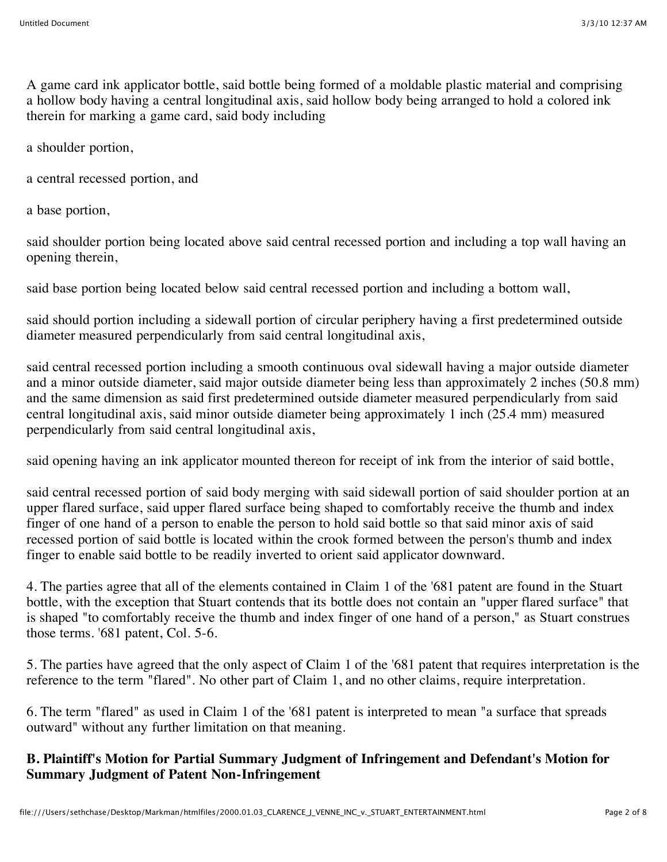A game card ink applicator bottle, said bottle being formed of a moldable plastic material and comprising a hollow body having a central longitudinal axis, said hollow body being arranged to hold a colored ink therein for marking a game card, said body including

a shoulder portion,

a central recessed portion, and

a base portion,

said shoulder portion being located above said central recessed portion and including a top wall having an opening therein,

said base portion being located below said central recessed portion and including a bottom wall,

said should portion including a sidewall portion of circular periphery having a first predetermined outside diameter measured perpendicularly from said central longitudinal axis,

said central recessed portion including a smooth continuous oval sidewall having a major outside diameter and a minor outside diameter, said major outside diameter being less than approximately 2 inches (50.8 mm) and the same dimension as said first predetermined outside diameter measured perpendicularly from said central longitudinal axis, said minor outside diameter being approximately 1 inch (25.4 mm) measured perpendicularly from said central longitudinal axis,

said opening having an ink applicator mounted thereon for receipt of ink from the interior of said bottle,

said central recessed portion of said body merging with said sidewall portion of said shoulder portion at an upper flared surface, said upper flared surface being shaped to comfortably receive the thumb and index finger of one hand of a person to enable the person to hold said bottle so that said minor axis of said recessed portion of said bottle is located within the crook formed between the person's thumb and index finger to enable said bottle to be readily inverted to orient said applicator downward.

4. The parties agree that all of the elements contained in Claim 1 of the '681 patent are found in the Stuart bottle, with the exception that Stuart contends that its bottle does not contain an "upper flared surface" that is shaped "to comfortably receive the thumb and index finger of one hand of a person," as Stuart construes those terms. '681 patent, Col. 5-6.

5. The parties have agreed that the only aspect of Claim 1 of the '681 patent that requires interpretation is the reference to the term "flared". No other part of Claim 1, and no other claims, require interpretation.

6. The term "flared" as used in Claim 1 of the '681 patent is interpreted to mean "a surface that spreads outward" without any further limitation on that meaning.

## **B. Plaintiff's Motion for Partial Summary Judgment of Infringement and Defendant's Motion for Summary Judgment of Patent Non-Infringement**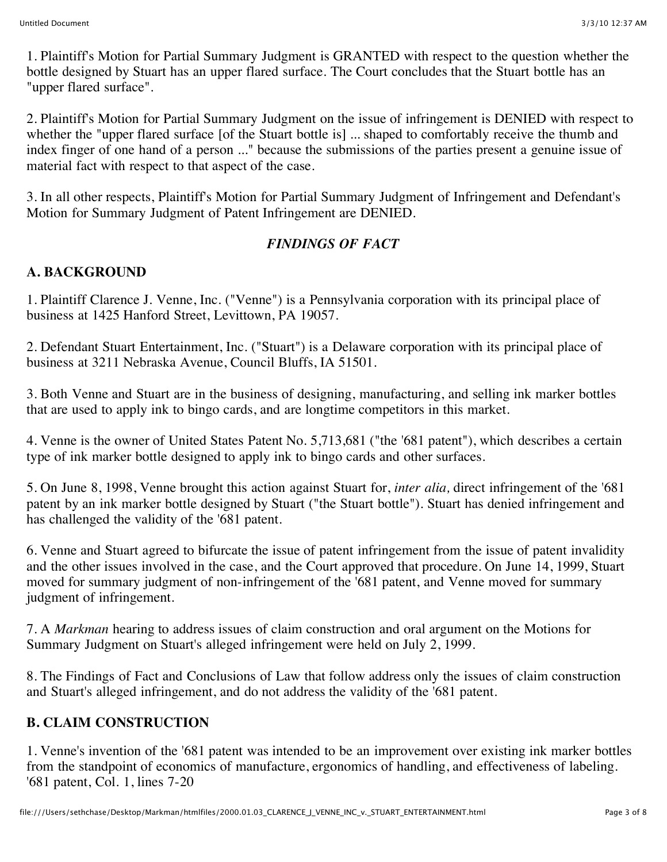1. Plaintiff's Motion for Partial Summary Judgment is GRANTED with respect to the question whether the bottle designed by Stuart has an upper flared surface. The Court concludes that the Stuart bottle has an "upper flared surface".

2. Plaintiff's Motion for Partial Summary Judgment on the issue of infringement is DENIED with respect to whether the "upper flared surface [of the Stuart bottle is] ... shaped to comfortably receive the thumb and index finger of one hand of a person ..." because the submissions of the parties present a genuine issue of material fact with respect to that aspect of the case.

3. In all other respects, Plaintiff's Motion for Partial Summary Judgment of Infringement and Defendant's Motion for Summary Judgment of Patent Infringement are DENIED.

## *FINDINGS OF FACT*

## **A. BACKGROUND**

1. Plaintiff Clarence J. Venne, Inc. ("Venne") is a Pennsylvania corporation with its principal place of business at 1425 Hanford Street, Levittown, PA 19057.

2. Defendant Stuart Entertainment, Inc. ("Stuart") is a Delaware corporation with its principal place of business at 3211 Nebraska Avenue, Council Bluffs, IA 51501.

3. Both Venne and Stuart are in the business of designing, manufacturing, and selling ink marker bottles that are used to apply ink to bingo cards, and are longtime competitors in this market.

4. Venne is the owner of United States Patent No. 5,713,681 ("the '681 patent"), which describes a certain type of ink marker bottle designed to apply ink to bingo cards and other surfaces.

5. On June 8, 1998, Venne brought this action against Stuart for, *inter alia,* direct infringement of the '681 patent by an ink marker bottle designed by Stuart ("the Stuart bottle"). Stuart has denied infringement and has challenged the validity of the '681 patent.

6. Venne and Stuart agreed to bifurcate the issue of patent infringement from the issue of patent invalidity and the other issues involved in the case, and the Court approved that procedure. On June 14, 1999, Stuart moved for summary judgment of non-infringement of the '681 patent, and Venne moved for summary judgment of infringement.

7. A *Markman* hearing to address issues of claim construction and oral argument on the Motions for Summary Judgment on Stuart's alleged infringement were held on July 2, 1999.

8. The Findings of Fact and Conclusions of Law that follow address only the issues of claim construction and Stuart's alleged infringement, and do not address the validity of the '681 patent.

### **B. CLAIM CONSTRUCTION**

1. Venne's invention of the '681 patent was intended to be an improvement over existing ink marker bottles from the standpoint of economics of manufacture, ergonomics of handling, and effectiveness of labeling. '681 patent, Col. 1, lines 7-20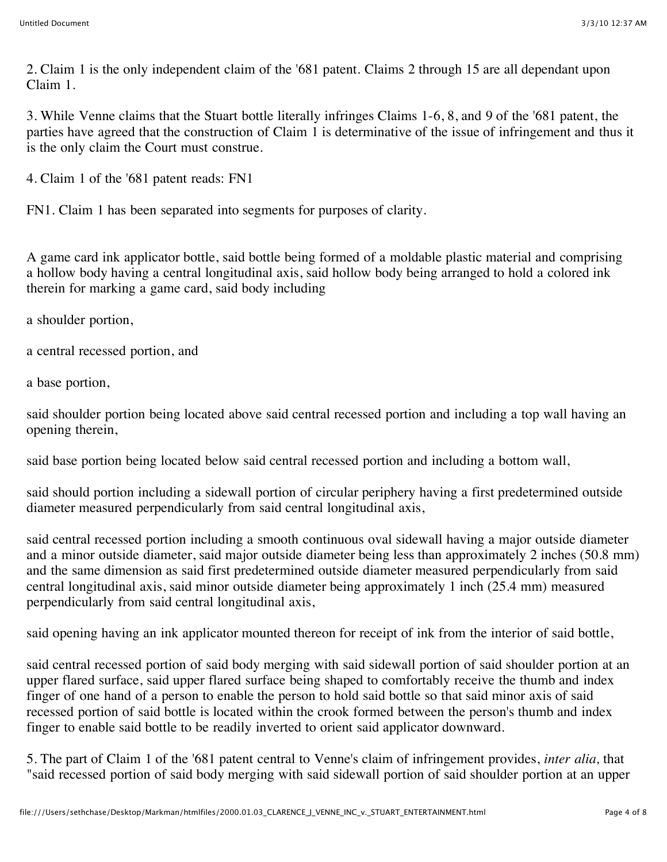2. Claim 1 is the only independent claim of the '681 patent. Claims 2 through 15 are all dependant upon Claim 1.

3. While Venne claims that the Stuart bottle literally infringes Claims 1-6, 8, and 9 of the '681 patent, the parties have agreed that the construction of Claim 1 is determinative of the issue of infringement and thus it is the only claim the Court must construe.

4. Claim 1 of the '681 patent reads: FN1

FN1. Claim 1 has been separated into segments for purposes of clarity.

A game card ink applicator bottle, said bottle being formed of a moldable plastic material and comprising a hollow body having a central longitudinal axis, said hollow body being arranged to hold a colored ink therein for marking a game card, said body including

a shoulder portion,

a central recessed portion, and

a base portion,

said shoulder portion being located above said central recessed portion and including a top wall having an opening therein,

said base portion being located below said central recessed portion and including a bottom wall,

said should portion including a sidewall portion of circular periphery having a first predetermined outside diameter measured perpendicularly from said central longitudinal axis,

said central recessed portion including a smooth continuous oval sidewall having a major outside diameter and a minor outside diameter, said major outside diameter being less than approximately 2 inches (50.8 mm) and the same dimension as said first predetermined outside diameter measured perpendicularly from said central longitudinal axis, said minor outside diameter being approximately 1 inch (25.4 mm) measured perpendicularly from said central longitudinal axis,

said opening having an ink applicator mounted thereon for receipt of ink from the interior of said bottle,

said central recessed portion of said body merging with said sidewall portion of said shoulder portion at an upper flared surface, said upper flared surface being shaped to comfortably receive the thumb and index finger of one hand of a person to enable the person to hold said bottle so that said minor axis of said recessed portion of said bottle is located within the crook formed between the person's thumb and index finger to enable said bottle to be readily inverted to orient said applicator downward.

5. The part of Claim 1 of the '681 patent central to Venne's claim of infringement provides, *inter alia,* that "said recessed portion of said body merging with said sidewall portion of said shoulder portion at an upper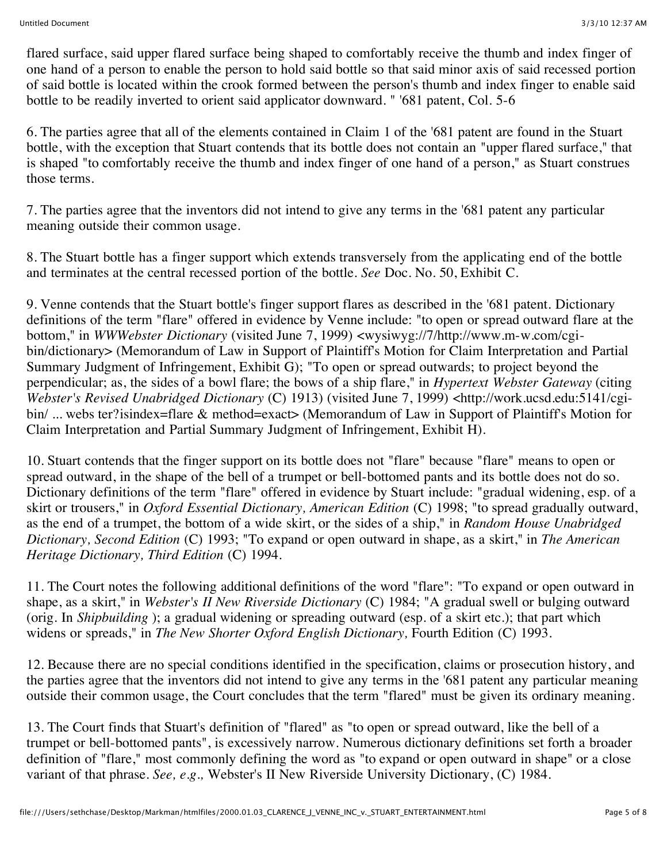flared surface, said upper flared surface being shaped to comfortably receive the thumb and index finger of one hand of a person to enable the person to hold said bottle so that said minor axis of said recessed portion of said bottle is located within the crook formed between the person's thumb and index finger to enable said bottle to be readily inverted to orient said applicator downward. " '681 patent, Col. 5-6

6. The parties agree that all of the elements contained in Claim 1 of the '681 patent are found in the Stuart bottle, with the exception that Stuart contends that its bottle does not contain an "upper flared surface," that is shaped "to comfortably receive the thumb and index finger of one hand of a person," as Stuart construes those terms.

7. The parties agree that the inventors did not intend to give any terms in the '681 patent any particular meaning outside their common usage.

8. The Stuart bottle has a finger support which extends transversely from the applicating end of the bottle and terminates at the central recessed portion of the bottle. *See* Doc. No. 50, Exhibit C.

9. Venne contends that the Stuart bottle's finger support flares as described in the '681 patent. Dictionary definitions of the term "flare" offered in evidence by Venne include: "to open or spread outward flare at the bottom," in *WWWebster Dictionary* (visited June 7, 1999) <wysiwyg://7/http://www.m-w.com/cgibin/dictionary> (Memorandum of Law in Support of Plaintiff's Motion for Claim Interpretation and Partial Summary Judgment of Infringement, Exhibit G); "To open or spread outwards; to project beyond the perpendicular; as, the sides of a bowl flare; the bows of a ship flare," in *Hypertext Webster Gateway* (citing *Webster's Revised Unabridged Dictionary* (C) 1913) (visited June 7, 1999) <http://work.ucsd.edu:5141/cgibin/ ... webs ter?isindex=flare & method=exact> (Memorandum of Law in Support of Plaintiff's Motion for Claim Interpretation and Partial Summary Judgment of Infringement, Exhibit H).

10. Stuart contends that the finger support on its bottle does not "flare" because "flare" means to open or spread outward, in the shape of the bell of a trumpet or bell-bottomed pants and its bottle does not do so. Dictionary definitions of the term "flare" offered in evidence by Stuart include: "gradual widening, esp. of a skirt or trousers," in *Oxford Essential Dictionary, American Edition* (C) 1998; "to spread gradually outward, as the end of a trumpet, the bottom of a wide skirt, or the sides of a ship," in *Random House Unabridged Dictionary, Second Edition* (C) 1993; "To expand or open outward in shape, as a skirt," in *The American Heritage Dictionary, Third Edition* (C) 1994.

11. The Court notes the following additional definitions of the word "flare": "To expand or open outward in shape, as a skirt," in *Webster's II New Riverside Dictionary* (C) 1984; "A gradual swell or bulging outward (orig. In *Shipbuilding* ); a gradual widening or spreading outward (esp. of a skirt etc.); that part which widens or spreads," in *The New Shorter Oxford English Dictionary,* Fourth Edition (C) 1993.

12. Because there are no special conditions identified in the specification, claims or prosecution history, and the parties agree that the inventors did not intend to give any terms in the '681 patent any particular meaning outside their common usage, the Court concludes that the term "flared" must be given its ordinary meaning.

13. The Court finds that Stuart's definition of "flared" as "to open or spread outward, like the bell of a trumpet or bell-bottomed pants", is excessively narrow. Numerous dictionary definitions set forth a broader definition of "flare," most commonly defining the word as "to expand or open outward in shape" or a close variant of that phrase. *See, e.g.,* Webster's II New Riverside University Dictionary, (C) 1984.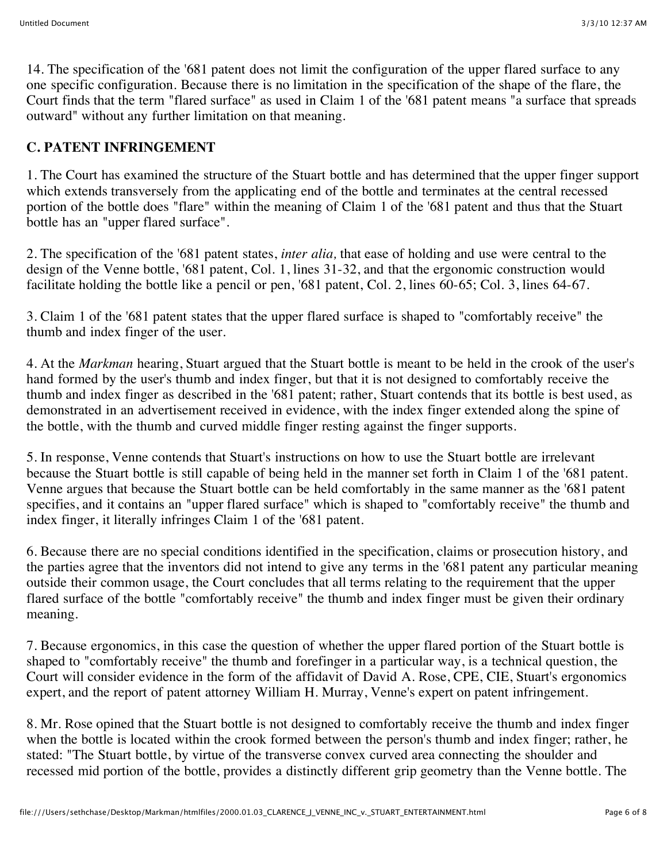14. The specification of the '681 patent does not limit the configuration of the upper flared surface to any one specific configuration. Because there is no limitation in the specification of the shape of the flare, the Court finds that the term "flared surface" as used in Claim 1 of the '681 patent means "a surface that spreads outward" without any further limitation on that meaning.

### **C. PATENT INFRINGEMENT**

1. The Court has examined the structure of the Stuart bottle and has determined that the upper finger support which extends transversely from the applicating end of the bottle and terminates at the central recessed portion of the bottle does "flare" within the meaning of Claim 1 of the '681 patent and thus that the Stuart bottle has an "upper flared surface".

2. The specification of the '681 patent states, *inter alia,* that ease of holding and use were central to the design of the Venne bottle, '681 patent, Col. 1, lines 31-32, and that the ergonomic construction would facilitate holding the bottle like a pencil or pen, '681 patent, Col. 2, lines 60-65; Col. 3, lines 64-67.

3. Claim 1 of the '681 patent states that the upper flared surface is shaped to "comfortably receive" the thumb and index finger of the user.

4. At the *Markman* hearing, Stuart argued that the Stuart bottle is meant to be held in the crook of the user's hand formed by the user's thumb and index finger, but that it is not designed to comfortably receive the thumb and index finger as described in the '681 patent; rather, Stuart contends that its bottle is best used, as demonstrated in an advertisement received in evidence, with the index finger extended along the spine of the bottle, with the thumb and curved middle finger resting against the finger supports.

5. In response, Venne contends that Stuart's instructions on how to use the Stuart bottle are irrelevant because the Stuart bottle is still capable of being held in the manner set forth in Claim 1 of the '681 patent. Venne argues that because the Stuart bottle can be held comfortably in the same manner as the '681 patent specifies, and it contains an "upper flared surface" which is shaped to "comfortably receive" the thumb and index finger, it literally infringes Claim 1 of the '681 patent.

6. Because there are no special conditions identified in the specification, claims or prosecution history, and the parties agree that the inventors did not intend to give any terms in the '681 patent any particular meaning outside their common usage, the Court concludes that all terms relating to the requirement that the upper flared surface of the bottle "comfortably receive" the thumb and index finger must be given their ordinary meaning.

7. Because ergonomics, in this case the question of whether the upper flared portion of the Stuart bottle is shaped to "comfortably receive" the thumb and forefinger in a particular way, is a technical question, the Court will consider evidence in the form of the affidavit of David A. Rose, CPE, CIE, Stuart's ergonomics expert, and the report of patent attorney William H. Murray, Venne's expert on patent infringement.

8. Mr. Rose opined that the Stuart bottle is not designed to comfortably receive the thumb and index finger when the bottle is located within the crook formed between the person's thumb and index finger; rather, he stated: "The Stuart bottle, by virtue of the transverse convex curved area connecting the shoulder and recessed mid portion of the bottle, provides a distinctly different grip geometry than the Venne bottle. The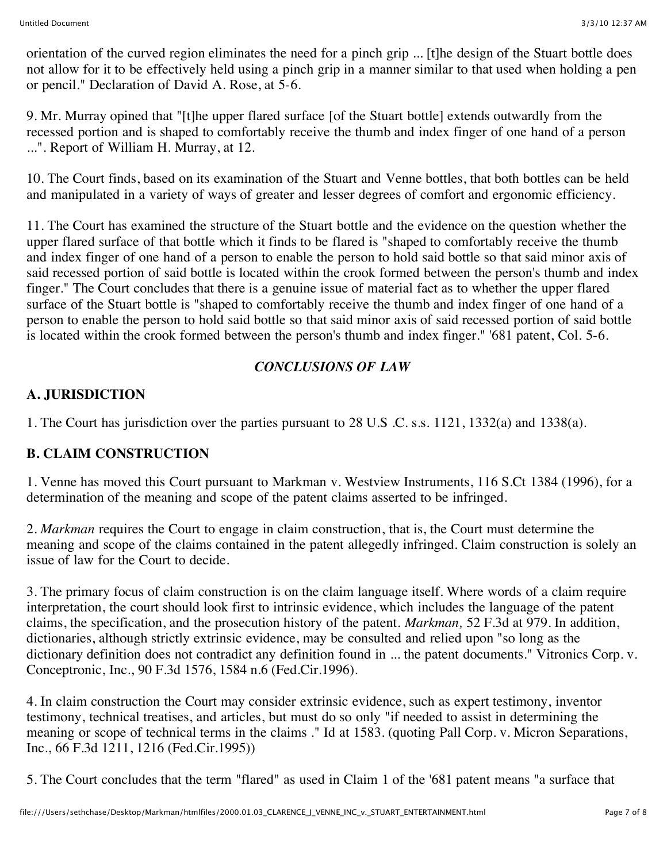orientation of the curved region eliminates the need for a pinch grip ... [t]he design of the Stuart bottle does not allow for it to be effectively held using a pinch grip in a manner similar to that used when holding a pen or pencil." Declaration of David A. Rose, at 5-6.

9. Mr. Murray opined that "[t]he upper flared surface [of the Stuart bottle] extends outwardly from the recessed portion and is shaped to comfortably receive the thumb and index finger of one hand of a person ...". Report of William H. Murray, at 12.

10. The Court finds, based on its examination of the Stuart and Venne bottles, that both bottles can be held and manipulated in a variety of ways of greater and lesser degrees of comfort and ergonomic efficiency.

11. The Court has examined the structure of the Stuart bottle and the evidence on the question whether the upper flared surface of that bottle which it finds to be flared is "shaped to comfortably receive the thumb and index finger of one hand of a person to enable the person to hold said bottle so that said minor axis of said recessed portion of said bottle is located within the crook formed between the person's thumb and index finger." The Court concludes that there is a genuine issue of material fact as to whether the upper flared surface of the Stuart bottle is "shaped to comfortably receive the thumb and index finger of one hand of a person to enable the person to hold said bottle so that said minor axis of said recessed portion of said bottle is located within the crook formed between the person's thumb and index finger." '681 patent, Col. 5-6.

### *CONCLUSIONS OF LAW*

## **A. JURISDICTION**

1. The Court has jurisdiction over the parties pursuant to 28 U.S .C. s.s. 1121, 1332(a) and 1338(a).

## **B. CLAIM CONSTRUCTION**

1. Venne has moved this Court pursuant to Markman v. Westview Instruments, 116 S.Ct 1384 (1996), for a determination of the meaning and scope of the patent claims asserted to be infringed.

2. *Markman* requires the Court to engage in claim construction, that is, the Court must determine the meaning and scope of the claims contained in the patent allegedly infringed. Claim construction is solely an issue of law for the Court to decide.

3. The primary focus of claim construction is on the claim language itself. Where words of a claim require interpretation, the court should look first to intrinsic evidence, which includes the language of the patent claims, the specification, and the prosecution history of the patent. *Markman,* 52 F.3d at 979. In addition, dictionaries, although strictly extrinsic evidence, may be consulted and relied upon "so long as the dictionary definition does not contradict any definition found in ... the patent documents." Vitronics Corp. v. Conceptronic, Inc., 90 F.3d 1576, 1584 n.6 (Fed.Cir.1996).

4. In claim construction the Court may consider extrinsic evidence, such as expert testimony, inventor testimony, technical treatises, and articles, but must do so only "if needed to assist in determining the meaning or scope of technical terms in the claims ." Id at 1583. (quoting Pall Corp. v. Micron Separations, Inc., 66 F.3d 1211, 1216 (Fed.Cir.1995))

5. The Court concludes that the term "flared" as used in Claim 1 of the '681 patent means "a surface that